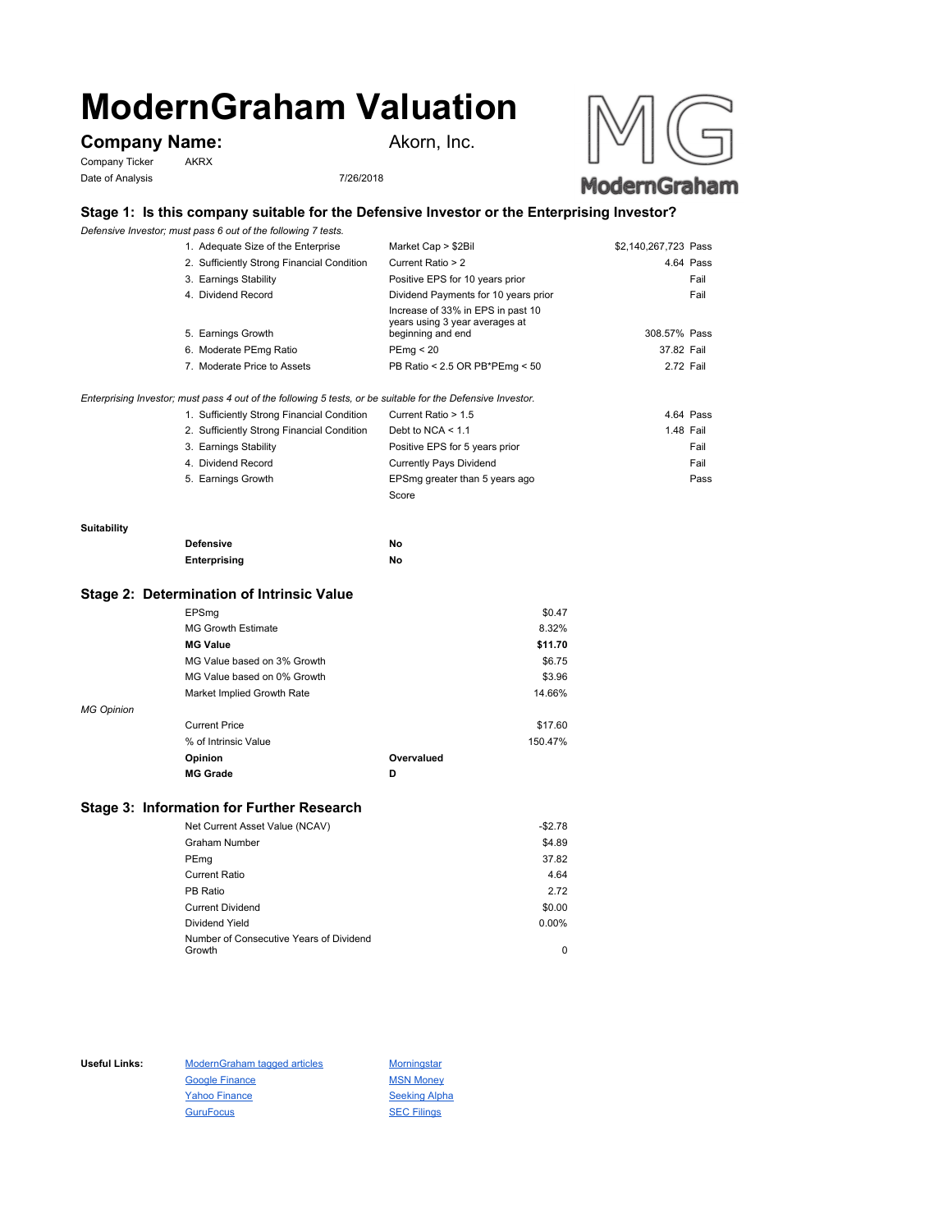# **ModernGraham Valuation**

# **Company Name:** Akorn, Inc.

Company Ticker AKRX Date of Analysis 7/26/2018



# **Stage 1: Is this company suitable for the Defensive Investor or the Enterprising Investor?**

*Defensive Investor; must pass 6 out of the following 7 tests.*

| 1. Adequate Size of the Enterprise         | Market Cap > \$2Bil                                                                      | \$2,140,267,723 Pass |
|--------------------------------------------|------------------------------------------------------------------------------------------|----------------------|
| 2. Sufficiently Strong Financial Condition | Current Ratio > 2                                                                        | 4.64 Pass            |
| 3. Earnings Stability                      | Positive EPS for 10 years prior                                                          | Fail                 |
| 4. Dividend Record                         | Dividend Payments for 10 years prior                                                     | Fail                 |
| 5. Earnings Growth                         | Increase of 33% in EPS in past 10<br>years using 3 year averages at<br>beginning and end | 308.57% Pass         |
| 6. Moderate PEmg Ratio                     | PEmq < 20                                                                                | 37.82 Fail           |
| 7. Moderate Price to Assets                | PB Ratio < 2.5 OR PB*PEmg < 50                                                           | 2.72 Fail            |

*Enterprising Investor; must pass 4 out of the following 5 tests, or be suitable for the Defensive Investor.*

| 1. Sufficiently Strong Financial Condition | Current Ratio > 1.5            | 4.64 Pass |
|--------------------------------------------|--------------------------------|-----------|
| 2. Sufficiently Strong Financial Condition | Debt to NCA $<$ 1.1            | 1.48 Fail |
| 3. Earnings Stability                      | Positive EPS for 5 years prior | Fail      |
| 4. Dividend Record                         | <b>Currently Pays Dividend</b> | Fail      |
| 5. Earnings Growth                         | EPSmg greater than 5 years ago | Pass      |
|                                            | Score                          |           |

#### **Suitability**

| <b>Defensive</b> | No |
|------------------|----|
| Enterprising     | No |

### **Stage 2: Determination of Intrinsic Value**

|                   | EPSmg                       |            | \$0.47  |
|-------------------|-----------------------------|------------|---------|
|                   | <b>MG Growth Estimate</b>   |            | 8.32%   |
|                   | <b>MG Value</b>             |            | \$11.70 |
|                   | MG Value based on 3% Growth |            | \$6.75  |
|                   | MG Value based on 0% Growth |            | \$3.96  |
|                   | Market Implied Growth Rate  |            | 14.66%  |
| <b>MG Opinion</b> |                             |            |         |
|                   | <b>Current Price</b>        |            | \$17.60 |
|                   | % of Intrinsic Value        |            | 150.47% |
|                   | Opinion                     | Overvalued |         |
|                   | <b>MG Grade</b>             | D          |         |
|                   |                             |            |         |

## **Stage 3: Information for Further Research**

| Net Current Asset Value (NCAV)          | $-$2.78$ |
|-----------------------------------------|----------|
| Graham Number                           | \$4.89   |
| PEmg                                    | 37.82    |
| Current Ratio                           | 4.64     |
| PB Ratio                                | 2.72     |
| <b>Current Dividend</b>                 | \$0.00   |
| Dividend Yield                          | $0.00\%$ |
| Number of Consecutive Years of Dividend |          |
| Growth                                  | 0        |

Useful Links: ModernGraham tagged articles Morningstar Google Finance MSN Money Yahoo Finance Seeking Alpha GuruFocus SEC Filings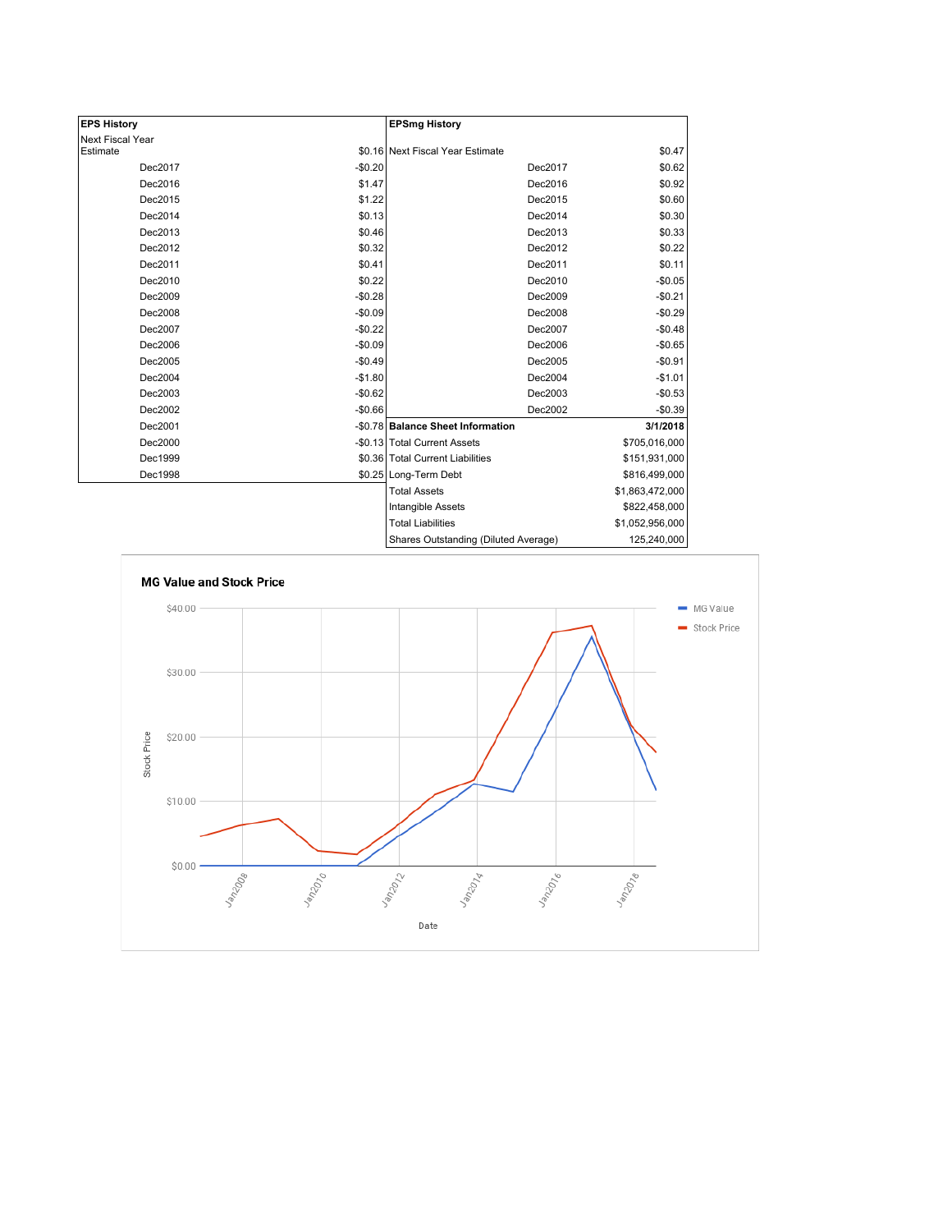| <b>EPS History</b> |          | <b>EPSmg History</b>                 |                 |
|--------------------|----------|--------------------------------------|-----------------|
| Next Fiscal Year   |          |                                      |                 |
| Estimate           |          | \$0.16 Next Fiscal Year Estimate     | \$0.47          |
| Dec2017            | $-$0.20$ | Dec2017                              | \$0.62          |
| Dec2016            | \$1.47   | Dec2016                              | \$0.92          |
| Dec2015            | \$1.22   | Dec2015                              | \$0.60          |
| Dec2014            | \$0.13   | Dec2014                              | \$0.30          |
| Dec2013            | \$0.46   | Dec2013                              | \$0.33          |
| Dec2012            | \$0.32   | Dec2012                              | \$0.22          |
| Dec2011            | \$0.41   | Dec2011                              | \$0.11          |
| Dec2010            | \$0.22   | Dec2010                              | $-$0.05$        |
| Dec2009            | $-$0.28$ | Dec2009                              | $-$0.21$        |
| Dec2008            | $-$0.09$ | Dec2008                              | $-$0.29$        |
| Dec2007            | $-$0.22$ | Dec2007                              | $-$0.48$        |
| Dec2006            | $-$0.09$ | Dec2006                              | $-$0.65$        |
| Dec2005            | $-$0.49$ | Dec2005                              | $-$0.91$        |
| Dec2004            | $-$1.80$ | Dec2004                              | $-$1.01$        |
| Dec2003            | $-$0.62$ | Dec2003                              | $-$0.53$        |
| Dec2002            | $-$0.66$ | Dec2002                              | $-$0.39$        |
| Dec2001            |          | -\$0.78 Balance Sheet Information    | 3/1/2018        |
| Dec2000            |          | -\$0.13 Total Current Assets         | \$705,016,000   |
| Dec1999            |          | \$0.36 Total Current Liabilities     | \$151,931,000   |
| Dec1998            |          | \$0.25 Long-Term Debt                | \$816,499,000   |
|                    |          | <b>Total Assets</b>                  | \$1,863,472,000 |
|                    |          | <b>Intangible Assets</b>             | \$822,458,000   |
|                    |          | <b>Total Liabilities</b>             | \$1,052,956,000 |
|                    |          | Sharee Outetanding (Diluted Average) | 125.240.000     |